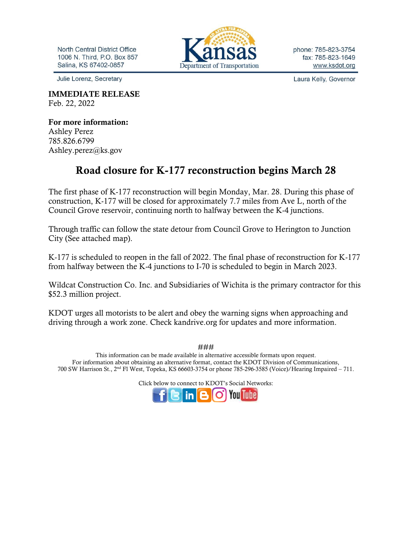North Central District Office 1006 N. Third, P.O. Box 857 Salina, KS 67402-0857

Julie Lorenz, Secretary

IMMEDIATE RELEASE Feb. 22, 2022

For more information: Ashley Perez 785.826.6799 Ashley.perez@ks.gov

## Road closure for K-177 reconstruction begins March 28

The first phase of K-177 reconstruction will begin Monday, Mar. 28. During this phase of construction, K-177 will be closed for approximately 7.7 miles from Ave L, north of the Council Grove reservoir, continuing north to halfway between the K-4 junctions.

Through traffic can follow the state detour from Council Grove to Herington to Junction City (See attached map).

K-177 is scheduled to reopen in the fall of 2022. The final phase of reconstruction for K-177 from halfway between the K-4 junctions to I-70 is scheduled to begin in March 2023.

Wildcat Construction Co. Inc. and Subsidiaries of Wichita is the primary contractor for this \$52.3 million project.

KDOT urges all motorists to be alert and obey the warning signs when approaching and driving through a work zone. Check kandrive.org for updates and more information.

### This information can be made available in alternative accessible formats upon request. For information about obtaining an alternative format, contact the KDOT Division of Communications, 700 SW Harrison St., 2nd Fl West, Topeka, KS 66603-3754 or phone 785-296-3585 (Voice)/Hearing Impaired – 711.

Click below to connect to KDOT's Social Networks:



phone: 785-823-3754 fax: 785-823-1649 www.ksdot.org

Laura Kelly, Governor